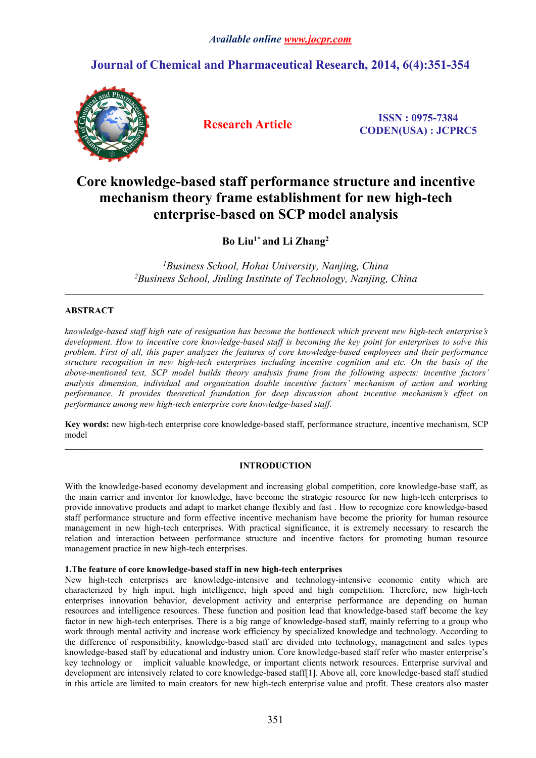## **Journal of Chemical and Pharmaceutical Research, 2014, 6(4):351-354**



**Research Article ISSN : 0975-7384 CODEN(USA) : JCPRC5**

# **Core knowledge-based staff performance structure and incentive mechanism theory frame establishment for new high-tech enterprise-based on SCP model analysis**

**Bo Liu1\* and Li Zhang<sup>2</sup>**

*<sup>1</sup>Business School, Hohai University, Nanjing, China <sup>2</sup>Business School, Jinling Institute of Technology, Nanjing, China*

 $\_$  , and the state of the state of the state of the state of the state of the state of the state of the state of the state of the state of the state of the state of the state of the state of the state of the state of the

 $\_$  , and the state of the state of the state of the state of the state of the state of the state of the state of the state of the state of the state of the state of the state of the state of the state of the state of the

## **ABSTRACT**

*knowledge-based staff high rate of resignation has become the bottleneck which prevent new high-tech enterprise's* development. How to incentive core knowledge-based staff is becoming the key point for enterprises to solve this *problem. First of all, this paper analyzes the features of core knowledge-based employees and their performance structure recognition in new high-tech enterprises including incentive cognition and etc. On the basis of the above-mentioned text, SCP model builds theory analysis frame from the following aspects: incentive factors' analysis dimension, individual and organization double incentive factors' mechanism of action and working performance. It provides theoretical foundation for deep discussion about incentive mechanism's effect on performance among new high-tech enterprise core knowledge-based staff.*

**Key words:**new high-tech enterprise core knowledge-based staff, performance structure, incentive mechanism, SCP model

## **INTRODUCTION**

With the knowledge-based economy development and increasing global competition, core knowledge-base staff, as the main carrier and inventor for knowledge, have become the strategic resource for new high-tech enterprises to provide innovative products and adapt to market change flexibly and fast .How to recognize core knowledge-based staff performance structure and form effective incentive mechanism have become the priority for human resource management in new high-tech enterprises. With practical significance, it is extremely necessary to research the relation and interaction between performance structure and incentive factors for promoting human resource management practice in new high-tech enterprises.

## **1.The feature of core knowledge-based staff in new high-tech enterprises**

New high-tech enterprises are knowledge-intensive and technology-intensive economic entity which are characterized by high input, high intelligence, high speed and high competition. Therefore, new high-tech enterprises innovation behavior, development activity and enterprise performance are depending on human resources and intelligence resources. These function and position lead that knowledge-based staff become the key factor in new high-tech enterprises. There is a big range of knowledge-based staff, mainly referring to a group who work through mental activity and increase work efficiency by specialized knowledge and technology. According to the difference of responsibility, knowledge-based staff are divided into technology, management and sales types knowledge-based staff by educational and industry union. Core knowledge-based staff refer who master enterprise's key technology or implicit valuable knowledge, or important clients network resources. Enterprise survival and development are intensively related to core knowledge-based staff[1]. Above all, core knowledge-based staff studied in this article are limited to main creators for new high-tech enterprise value and profit. These creators also master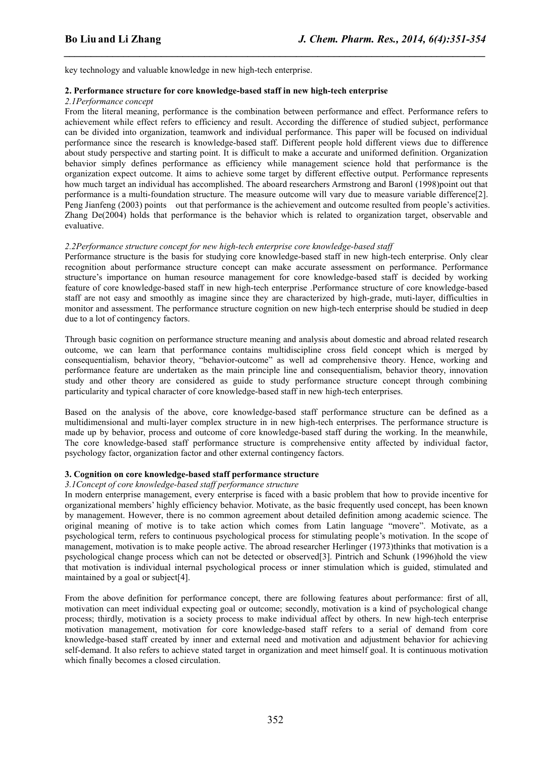*\_\_\_\_\_\_\_\_\_\_\_\_\_\_\_\_\_\_\_\_\_\_\_\_\_\_\_\_\_\_\_\_\_\_\_\_\_\_\_\_\_\_\_\_\_\_\_\_\_\_\_\_\_\_\_\_\_\_\_\_\_\_\_\_\_\_\_\_\_\_\_\_\_\_\_\_\_\_*

key technology and valuable knowledge in new high-tech enterprise.

#### **2. Performance structure for core knowledge-based staff in new high-tech enterprise**

#### *2.1Performance concept*

From the literal meaning, performance is the combination between performance and effect. Performance refers to achievement while effect refers to efficiency and result. According the difference of studied subject, performance can be divided into organization, teamwork and individual performance. This paper will be focused on individual performance since the research is knowledge-based staff. Different people hold different views due to difference about study perspective and starting point. It is difficult to make a accurate and uniformed definition. Organization behavior simply defines performance as efficiency while management science hold that performance is the organization expect outcome. It aims to achieve some target by different effective output. Performance represents how much target an individual has accomplished. The aboard researchers Armstrong and Baronl (1998)point out that performance isa multi-foundation structure. The measure outcome will vary due to measure variable difference[2]. Peng Jianfeng (2003) points out that performance is the achievement and outcome resulted from people's activities. Zhang De(2004) holds that performance is the behavior which is related to organization target, observable and evaluative.

#### *2.2Performance structure concept for new high-tech enterprise core knowledge-based staff*

Performance structure is the basis for studying core knowledge-based staff in new high-tech enterprise. Only clear recognition about performance structure concept can make accurate assessment on performance. Performance structure's importance on human resource management for core knowledge-based staff is decided by working feature of core knowledge-based staff in new high-tech enterprise .Performance structure of core knowledge-based staff are not easy and smoothly as imagine since they are characterized by high-grade, muti-layer, difficulties in monitor and assessment. The performance structure cognition on new high-tech enterprise should be studied in deep due to a lot of contingency factors.

Through basic cognition on performance structure meaning and analysis about domestic and abroad related research outcome, we can learn that performance contains multidiscipline cross field concept which is merged by consequentialism, behavior theory, "behavior-outcome" as well ad comprehensive theory. Hence, working and performance feature are undertaken as the main principle line and consequentialism, behavior theory, innovation study and other theory are considered as guide to study performance structure concept through combining particularity and typical character of core knowledge-based staff in new high-tech enterprises.

Based on the analysis of the above, core knowledge-based staff performance structure can be defined as a multidimensional and multi-layer complex structure in in new high-tech enterprises. The performance structure is made up by behavior, process and outcome of core knowledge-based staff during the working. In the meanwhile, The core knowledge-based staff performance structure is comprehensive entity affected by individual factor, psychology factor, organization factor and other external contingency factors.

#### **3. Cognition on coreknowledge-based staff performance structure**

*3.1Concept of core knowledge-based staff performance structure*

In modern enterprise management, every enterprise is faced with a basic problem that how to provide incentive for organizational members' highly efficiency behavior. Motivate, as the basic frequently used concept, has been known by management. However, there is no common agreement about detailed definition among academic science. The original meaning of motive is to take action which comes from Latin language "movere". Motivate, as a psychological term, refers to continuous psychological process for stimulating people's motivation. In the scope of management, motivation is to make people active. The abroad researcher Herlinger (1973)thinks that motivation is a psychological change process which can not be detected or observed[3]. Pintrich and Schunk (1996)hold the view that motivation is individual internal psychological process or inner stimulation which is guided, stimulated and maintained by a goal or subject[4].

From the above definition for performance concept, there are following features about performance: first of all, motivation can meet individual expecting goal or outcome; secondly, motivation is a kind of psychological change process; thirdly, motivation is a society process to make individual affect by others. In new high-techenterprise motivation management, motivation for core knowledge-based staff refers to aserial of demand from core knowledge-based staff created by inner and external need and motivation and adjustment behavior for achieving self-demand. It also refers to achieve stated target in organization and meet himself goal. It is continuous motivation which finally becomes a closed circulation.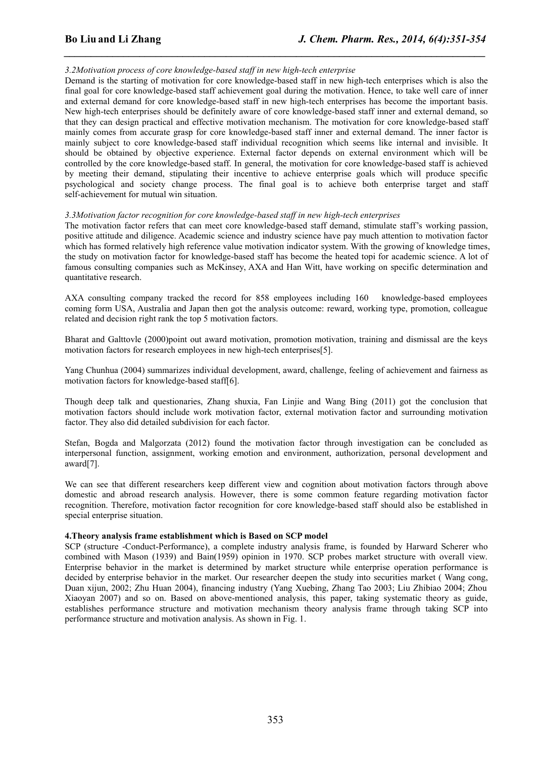## *3.2Motivation process of core knowledge-based staff in new high-tech enterprise*

Demand is the starting of motivation for core knowledge-based staff in new high-tech enterprises which is also the final goal for core knowledge-based staff achievement goal during the motivation. Hence, to take well care of inner and external demand for core knowledge-based staff in new high-tech enterprises has become the important basis. New high-tech enterprises should be definitely aware of core knowledge-based staff inner and external demand, so that they can design practical and effective motivation mechanism. The motivation for core knowledge-based staff mainly comes from accurate grasp for core knowledge-based staff inner and external demand. The inner factor is mainly subject to core knowledge-based staff individual recognition which seems like internal and invisible. It should be obtained by objective experience. External factor depends on external environment which will be controlled by the core knowledge-based staff. In general, the motivation for core knowledge-based staff is achieved by meeting their demand, stipulating their incentive to achieve enterprise goals which will produce specific psychological and society change process. The final goal is to achieve both enterprise target and staff self-achievement for mutual win situation.

*\_\_\_\_\_\_\_\_\_\_\_\_\_\_\_\_\_\_\_\_\_\_\_\_\_\_\_\_\_\_\_\_\_\_\_\_\_\_\_\_\_\_\_\_\_\_\_\_\_\_\_\_\_\_\_\_\_\_\_\_\_\_\_\_\_\_\_\_\_\_\_\_\_\_\_\_\_\_*

## *3.3Motivation factor recognition for core knowledge-based staff in new high-tech enterprises*

The motivation factor refers that can meet core knowledge-based staff demand, stimulate staff's working passion, positive attitude and diligence. Academic science and industry science have pay much attention to motivation factor which has formed relatively high reference value motivation indicator system. With the growing of knowledge times, the study on motivation factor for knowledge-based staff has become the heated topi for academic science. A lot of famous consulting companies such as McKinsey, AXA and Han Witt, have working on specific determination and quantitative research.

AXA consulting company tracked the record for 858 employees including 160 knowledge-based employees coming form USA, Australia and Japan then got the analysis outcome: reward, working type, promotion, colleague related and decision right rank the top 5 motivation factors.

Bharat and Galttovle (2000)point out award motivation, promotion motivation, training and dismissal are the keys motivation factors for research employees in new high-tech enterprises[5].

Yang Chunhua (2004) summarizes individual development, award, challenge, feeling of achievement and fairness as motivation factors for knowledge-based staff[6].

Though deep talk and questionaries, Zhang shuxia, Fan Linjie and Wang Bing (2011) got the conclusion that motivation factors should include work motivation factor, external motivation factor and surrounding motivation factor. They also did detailed subdivision for each factor.

Stefan, Bogda and Malgorzata (2012) found the motivation factor through investigation can be concluded as interpersonal function, assignment, working emotion and environment, authorization, personal development and award[7].

We can see that different researchers keep different view and cognition about motivation factors through above domestic and abroad research analysis. However, there is some common feature regarding motivation factor recognition. Therefore, motivation factor recognition for core knowledge-based staff should also be established in special enterprise situation.

## **4.Theory analysis frame establishment which is Based on SCP model**

SCP (structure -Conduct-Performance), a complete industry analysis frame, is founded by Harward Scherer who combined with Mason (1939) and Bain(1959) opinion in 1970. SCP probes market structure with overall view. Enterprise behavior in the market is determined by market structure while enterprise operation performance is decided by enterprise behavior in the market. Our researcher deepen the study into securities market ( Wang cong, Duan xijun, 2002; Zhu Huan 2004), financing industry (Yang Xuebing, Zhang Tao 2003; Liu Zhibiao 2004; Zhou Xiaoyan 2007) and so on. Based on above-mentioned analysis, this paper, taking systematic theory as guide, establishes performance structure and motivation mechanism theory analysis frame through taking SCP into performance structure and motivation analysis. As shown in Fig. 1.